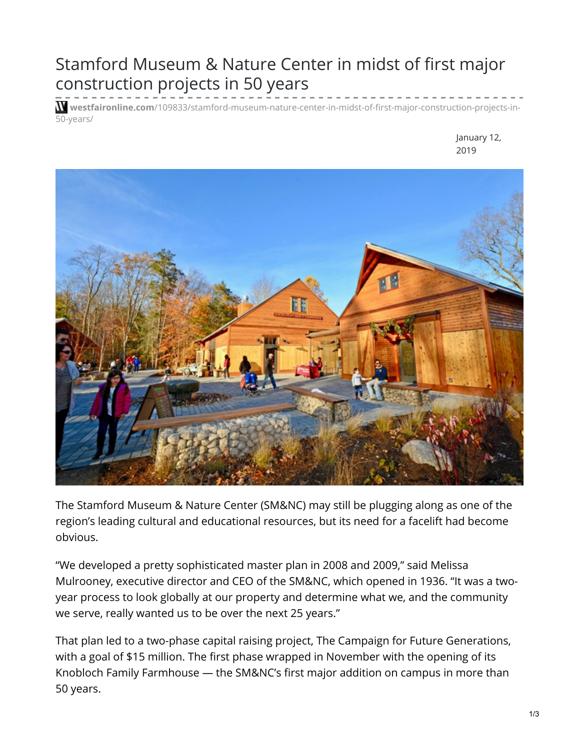## Stamford Museum & Nature Center in midst of first major construction projects in 50 years

**westfaironline.com**[/109833/stamford-museum-nature-center-in-midst-of-first-major-construction-projects-in-](https://westfaironline.com/109833/stamford-museum-nature-center-in-midst-of-first-major-construction-projects-in-50-years/)50-years/

> January 12, 2019



The Stamford Museum & Nature Center (SM&NC) may still be plugging along as one of the region's leading cultural and educational resources, but its need for a facelift had become obvious.

"We developed a pretty sophisticated master plan in 2008 and 2009," said Melissa Mulrooney, executive director and CEO of the SM&NC, which opened in 1936. "It was a twoyear process to look globally at our property and determine what we, and the community we serve, really wanted us to be over the next 25 years."

That plan led to a two-phase capital raising project, The Campaign for Future Generations, with a goal of \$15 million. The first phase wrapped in November with the opening of its Knobloch Family Farmhouse — the SM&NC's first major addition on campus in more than 50 years.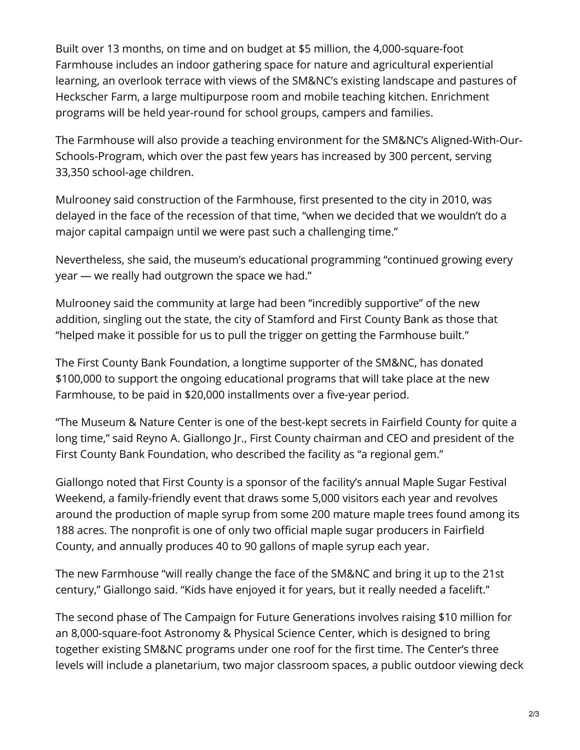Built over 13 months, on time and on budget at \$5 million, the 4,000-square-foot Farmhouse includes an indoor gathering space for nature and agricultural experiential learning, an overlook terrace with views of the SM&NC's existing landscape and pastures of Heckscher Farm, a large multipurpose room and mobile teaching kitchen. Enrichment programs will be held year-round for school groups, campers and families.

The Farmhouse will also provide a teaching environment for the SM&NC's Aligned-With-Our-Schools-Program, which over the past few years has increased by 300 percent, serving 33,350 school-age children.

Mulrooney said construction of the Farmhouse, first presented to the city in 2010, was delayed in the face of the recession of that time, "when we decided that we wouldn't do a major capital campaign until we were past such a challenging time."

Nevertheless, she said, the museum's educational programming "continued growing every year — we really had outgrown the space we had."

Mulrooney said the community at large had been "incredibly supportive" of the new addition, singling out the state, the city of Stamford and First County Bank as those that "helped make it possible for us to pull the trigger on getting the Farmhouse built."

The First County Bank Foundation, a longtime supporter of the SM&NC, has donated \$100,000 to support the ongoing educational programs that will take place at the new Farmhouse, to be paid in \$20,000 installments over a five-year period.

"The Museum & Nature Center is one of the best-kept secrets in Fairfield County for quite a long time," said Reyno A. Giallongo Jr., First County chairman and CEO and president of the First County Bank Foundation, who described the facility as "a regional gem."

Giallongo noted that First County is a sponsor of the facility's annual Maple Sugar Festival Weekend, a family-friendly event that draws some 5,000 visitors each year and revolves around the production of maple syrup from some 200 mature maple trees found among its 188 acres. The nonprofit is one of only two official maple sugar producers in Fairfield County, and annually produces 40 to 90 gallons of maple syrup each year.

The new Farmhouse "will really change the face of the SM&NC and bring it up to the 21st century," Giallongo said. "Kids have enjoyed it for years, but it really needed a facelift."

The second phase of The Campaign for Future Generations involves raising \$10 million for an 8,000-square-foot Astronomy & Physical Science Center, which is designed to bring together existing SM&NC programs under one roof for the first time. The Center's three levels will include a planetarium, two major classroom spaces, a public outdoor viewing deck